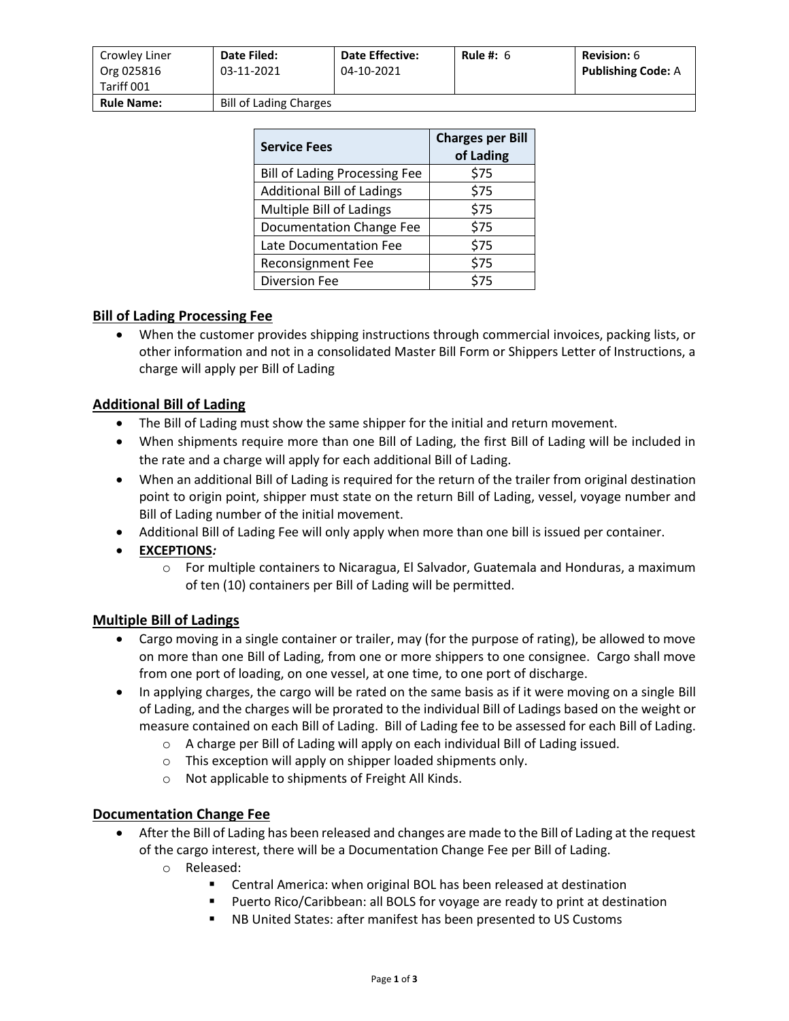| Crowley Liner<br>Org 025816<br>Tariff 001 | <b>Date Filed:</b><br>03-11-2021 | <b>Date Effective:</b><br>04-10-2021 | Rule #: $6$ | <b>Revision:</b> 6<br><b>Publishing Code: A</b> |
|-------------------------------------------|----------------------------------|--------------------------------------|-------------|-------------------------------------------------|
| <b>Rule Name:</b>                         | <b>Bill of Lading Charges</b>    |                                      |             |                                                 |

| <b>Service Fees</b>                  | <b>Charges per Bill</b><br>of Lading |  |
|--------------------------------------|--------------------------------------|--|
| <b>Bill of Lading Processing Fee</b> | \$75                                 |  |
| <b>Additional Bill of Ladings</b>    | \$75                                 |  |
| Multiple Bill of Ladings             | \$75                                 |  |
| Documentation Change Fee             | \$75                                 |  |
| Late Documentation Fee               | \$75                                 |  |
| <b>Reconsignment Fee</b>             | \$75                                 |  |
| <b>Diversion Fee</b>                 | \$75                                 |  |

# **Bill of Lading Processing Fee**

• When the customer provides shipping instructions through commercial invoices, packing lists, or other information and not in a consolidated Master Bill Form or Shippers Letter of Instructions, a charge will apply per Bill of Lading

## **Additional Bill of Lading**

- The Bill of Lading must show the same shipper for the initial and return movement.
- When shipments require more than one Bill of Lading, the first Bill of Lading will be included in the rate and a charge will apply for each additional Bill of Lading.
- When an additional Bill of Lading is required for the return of the trailer from original destination point to origin point, shipper must state on the return Bill of Lading, vessel, voyage number and Bill of Lading number of the initial movement.
- Additional Bill of Lading Fee will only apply when more than one bill is issued per container.
- **EXCEPTIONS***:*
	- o For multiple containers to Nicaragua, El Salvador, Guatemala and Honduras, a maximum of ten (10) containers per Bill of Lading will be permitted.

## **Multiple Bill of Ladings**

- Cargo moving in a single container or trailer, may (for the purpose of rating), be allowed to move on more than one Bill of Lading, from one or more shippers to one consignee. Cargo shall move from one port of loading, on one vessel, at one time, to one port of discharge.
- In applying charges, the cargo will be rated on the same basis as if it were moving on a single Bill of Lading, and the charges will be prorated to the individual Bill of Ladings based on the weight or measure contained on each Bill of Lading. Bill of Lading fee to be assessed for each Bill of Lading.
	- o A charge per Bill of Lading will apply on each individual Bill of Lading issued.
	- o This exception will apply on shipper loaded shipments only.
	- o Not applicable to shipments of Freight All Kinds.

## **Documentation Change Fee**

- After the Bill of Lading has been released and changes are made to the Bill of Lading at the request of the cargo interest, there will be a Documentation Change Fee per Bill of Lading.
	- o Released:
		- Central America: when original BOL has been released at destination
		- Puerto Rico/Caribbean: all BOLS for voyage are ready to print at destination
		- NB United States: after manifest has been presented to US Customs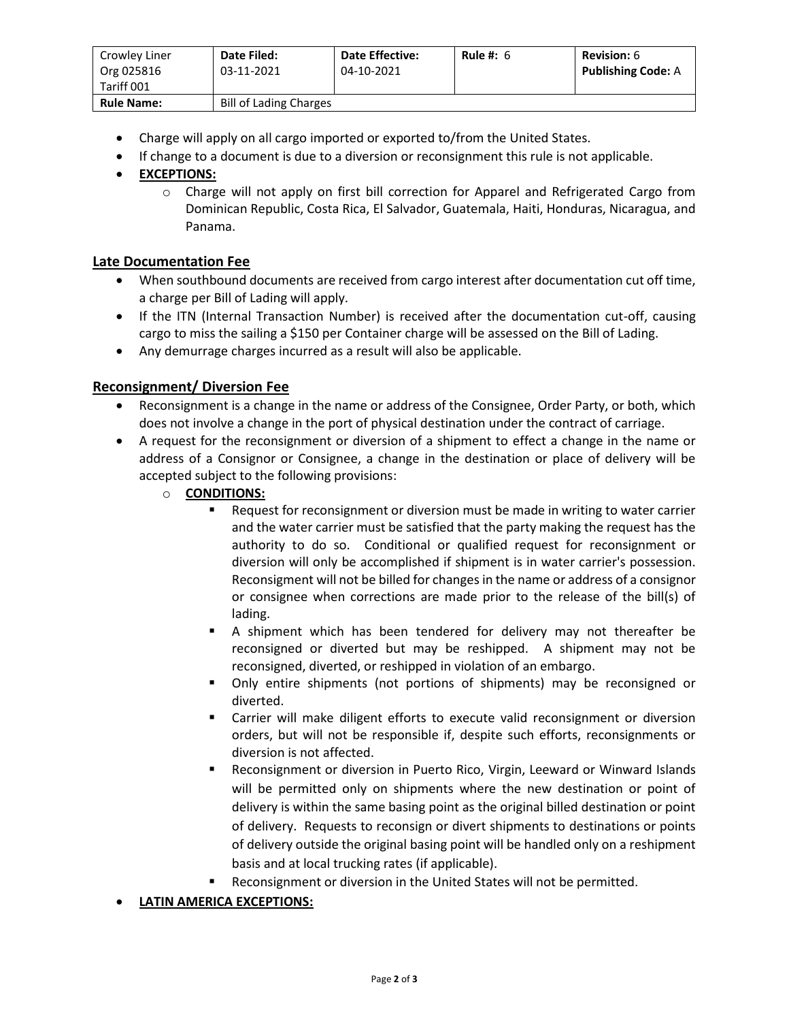| Crowley Liner<br>Org 025816<br>Tariff 001 | Date Filed:<br>03-11-2021     | <b>Date Effective:</b><br>04-10-2021 | Rule #: $6$ | Revision: 6<br><b>Publishing Code: A</b> |
|-------------------------------------------|-------------------------------|--------------------------------------|-------------|------------------------------------------|
| <b>Rule Name:</b>                         | <b>Bill of Lading Charges</b> |                                      |             |                                          |

- Charge will apply on all cargo imported or exported to/from the United States.
- If change to a document is due to a diversion or reconsignment this rule is not applicable.
- **EXCEPTIONS:**
	- o Charge will not apply on first bill correction for Apparel and Refrigerated Cargo from Dominican Republic, Costa Rica, El Salvador, Guatemala, Haiti, Honduras, Nicaragua, and Panama.

## **Late Documentation Fee**

- When southbound documents are received from cargo interest after documentation cut off time, a charge per Bill of Lading will apply.
- If the ITN (Internal Transaction Number) is received after the documentation cut-off, causing cargo to miss the sailing a \$150 per Container charge will be assessed on the Bill of Lading.
- Any demurrage charges incurred as a result will also be applicable.

## **Reconsignment/ Diversion Fee**

- Reconsignment is a change in the name or address of the Consignee, Order Party, or both, which does not involve a change in the port of physical destination under the contract of carriage.
- A request for the reconsignment or diversion of a shipment to effect a change in the name or address of a Consignor or Consignee, a change in the destination or place of delivery will be accepted subject to the following provisions:
	- o **CONDITIONS:**
		- Request for reconsignment or diversion must be made in writing to water carrier and the water carrier must be satisfied that the party making the request has the authority to do so. Conditional or qualified request for reconsignment or diversion will only be accomplished if shipment is in water carrier's possession. Reconsigment will not be billed for changes in the name or address of a consignor or consignee when corrections are made prior to the release of the bill(s) of lading.
		- **E** A shipment which has been tendered for delivery may not thereafter be reconsigned or diverted but may be reshipped. A shipment may not be reconsigned, diverted, or reshipped in violation of an embargo.
		- Only entire shipments (not portions of shipments) may be reconsigned or diverted.
		- Carrier will make diligent efforts to execute valid reconsignment or diversion orders, but will not be responsible if, despite such efforts, reconsignments or diversion is not affected.
		- Reconsignment or diversion in Puerto Rico, Virgin, Leeward or Winward Islands will be permitted only on shipments where the new destination or point of delivery is within the same basing point as the original billed destination or point of delivery. Requests to reconsign or divert shipments to destinations or points of delivery outside the original basing point will be handled only on a reshipment basis and at local trucking rates (if applicable).
		- Reconsignment or diversion in the United States will not be permitted.

### • **LATIN AMERICA EXCEPTIONS:**